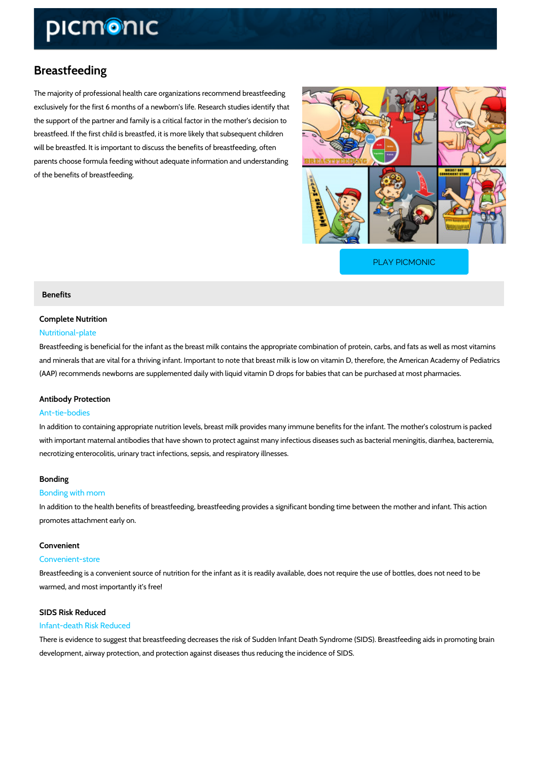# Breastfeeding

The majority of professional health care organizations recommend breastfeeding exclusively for the first 6 months of a newborn s life. Research studies identify that the support of the partner and family is a critical factor in the mother s decision to breastfeed. If the first child is breastfed, it is more likely that subsequent children will be breastfed. It is important to discuss the benefits of breastfeeding, often parents choose formula feeding without adequate information and understanding of the benefits of breastfeeding.

[PLAY PICMONIC](https://www.picmonic.com/learn/breastfeeding_1961?utm_source=downloadable_content&utm_medium=distributedcontent&utm_campaign=pathways_pdf&utm_content=Breastfeeding&utm_ad_group=leads&utm_market=all)

# Benefits

# Complete Nutrition

## Nutritional-plate

Breastfeeding is beneficial for the infant as the breast milk contains the appropriate combination of proteins and minerals that are vital for a thriving infant. Important to note that breast milk is low on v (AAP) recommends newborns are supplemented daily with liquid vitamin D drops for babies that

### Antibody Protection

#### Ant-tie-bodies

In addition to containing appropriate nutrition levels, breast milk provides many immune bene with important maternal antibodies that have shown to protect against many infectious disease necrotizing enterocolitis, urinary tract infections, sepsis, and respiratory illnesses.

#### Bonding

#### Bonding with mom

In addition to the health benefits of breastfeeding, breastfeeding provides a significant bondi promotes attachment early on.

#### Convenient

#### Convenient-store

Breastfeeding is a convenient source of nutrition for the infant as it is readily available, does warmed, and most importantly it s free!

# SIDS Risk Reduced

#### Infant-death Risk Reduced

There is evidence to suggest that breastfeeding decreases the risk of Sudden Infant Death Sy development, airway protection, and protection against diseases thus reducing the incidence of